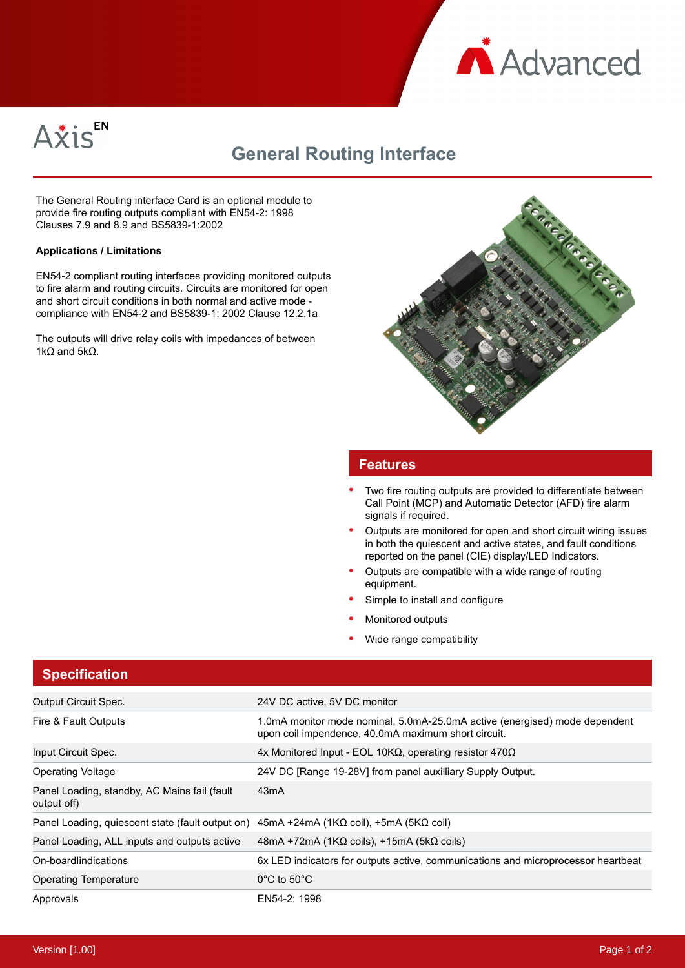



# **General Routing Interface**

The General Routing interface Card is an optional module to provide fire routing outputs compliant with EN54-2: 1998 Clauses 7.9 and 8.9 and BS5839-1:2002

#### **Applications / Limitations**

EN54-2 compliant routing interfaces providing monitored outputs to fire alarm and routing circuits. Circuits are monitored for open and short circuit conditions in both normal and active mode compliance with EN54-2 and BS5839-1: 2002 Clause 12.2.1a

The outputs will drive relay coils with impedances of between 1kΩ and  $5kΩ$ .



## **Features**

- Two fire routing outputs are provided to differentiate between Call Point (MCP) and Automatic Detector (AFD) fire alarm signals if required.
- Outputs are monitored for open and short circuit wiring issues in both the quiescent and active states, and fault conditions reported on the panel (CIE) display/LED Indicators.
- Outputs are compatible with a wide range of routing equipment.
- Simple to install and configure
- Monitored outputs
- Wide range compatibility

# **Specification**

| <b>Output Circuit Spec.</b>                                                                                  | 24V DC active, 5V DC monitor                                                                                                      |
|--------------------------------------------------------------------------------------------------------------|-----------------------------------------------------------------------------------------------------------------------------------|
| Fire & Fault Outputs                                                                                         | 1.0mA monitor mode nominal, 5.0mA-25.0mA active (energised) mode dependent<br>upon coil impendence, 40.0mA maximum short circuit. |
| Input Circuit Spec.                                                                                          | 4x Monitored Input - EOL 10ΚΩ, operating resistor 470Ω                                                                            |
| <b>Operating Voltage</b>                                                                                     | 24V DC [Range 19-28V] from panel auxilliary Supply Output.                                                                        |
| Panel Loading, standby, AC Mains fail (fault<br>output off)                                                  | 43 <sub>m</sub> A                                                                                                                 |
| Panel Loading, quiescent state (fault output on) $45mA + 24mA$ (1K $\Omega$ coil), $+5mA$ (5K $\Omega$ coil) |                                                                                                                                   |
| Panel Loading, ALL inputs and outputs active                                                                 | $48mA + 72mA$ (1K $\Omega$ coils), +15mA (5k $\Omega$ coils)                                                                      |
| On-boardlindications                                                                                         | 6x LED indicators for outputs active, communications and microprocessor heartbeat                                                 |
| <b>Operating Temperature</b>                                                                                 | $0^{\circ}$ C to 50 $^{\circ}$ C                                                                                                  |
| Approvals                                                                                                    | EN54-2: 1998                                                                                                                      |